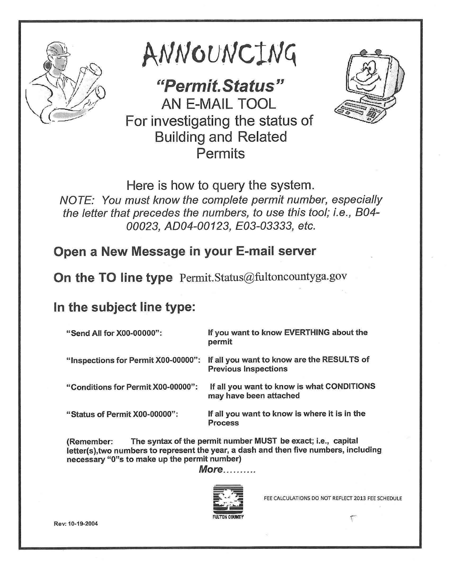

ANNOUNCING

*"Permit. Status"*  AN E-MAIL TOOL For investigating the status of Building and Related Permits



Here is how to query the system. *NOTE: You must know the complete permit number, especially the letter that precedes the numbers, to use this tool; i.e., 804- 00023, AD04-00123, E03-03333, etc.* 

## Open a New Message in your E-mail server

On the TO line type Permit.Status@fultoncountyga.gov

## In the subject line type:

| "Send All for X00-00000":           | If you want to know EVERTHING about the<br>permit                         |
|-------------------------------------|---------------------------------------------------------------------------|
| "Inspections for Permit X00-00000": | If all you want to know are the RESULTS of<br><b>Previous Inspections</b> |
| "Conditions for Permit X00-00000":  | If all you want to know is what CONDITIONS<br>may have been attached      |
| "Status of Permit X00-00000":       | If all you want to know is where it is in the<br>Process                  |

(Remember: The syntax of the permit number MUST be exact; i.e., capital letter(s),two numbers to represent the year, a dash and then five numbers, including necessary "O"s to make up the permit number)

*More..........* 



FEE CALCULATIONS DO NOT REFLECT 2013 FEE SCHEDULE

\ Rev: 10-19-2004